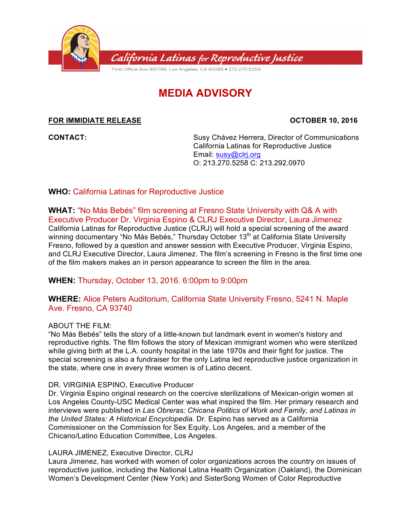

# **MEDIA ADVISORY**

## **FOR IMMIDIATE RELEASE OCTOBER 10, 2016**

**CONTACT:** Susy Chávez Herrera, Director of Communications California Latinas for Reproductive Justice Email: susy@clrj.org O: 213.270.5258 C: 213.292.0970

## **WHO:** California Latinas for Reproductive Justice

**WHAT:** "No Más Bebés" film screening at Fresno State University with Q& A with Executive Producer Dr. Virginia Espino & CLRJ Executive Director, Laura Jimenez California Latinas for Reproductive Justice (CLRJ) will hold a special screening of the award winning documentary "No Más Bebés," Thursday October 13<sup>th</sup> at California State University Fresno, followed by a question and answer session with Executive Producer, Virginia Espino, and CLRJ Executive Director, Laura Jimenez. The film's screening in Fresno is the first time one of the film makers makes an in person appearance to screen the film in the area.

# **WHEN:** Thursday, October 13, 2016. 6:00pm to 9:00pm

## **WHERE:** Alice Peters Auditorium, California State University Fresno, 5241 N. Maple Ave. Fresno, CA 93740

### ABOUT THE FILM:

"No Más Bebés" tells the story of a little-known but landmark event in women's history and reproductive rights. The film follows the story of Mexican immigrant women who were sterilized while giving birth at the L.A. county hospital in the late 1970s and their fight for justice. The special screening is also a fundraiser for the only Latina led reproductive justice organization in the state, where one in every three women is of Latino decent.

### DR. VIRGINIA ESPINO, Executive Producer

Dr. Virginia Espino original research on the coercive sterilizations of Mexican-origin women at Los Angeles County-USC Medical Center was what inspired the film. Her primary research and interviews were published in *Las Obreras: Chicana Politics of Work and Family, and Latinas in the United States: A Historical Encyclopedia*. Dr. Espino has served as a California Commissioner on the Commission for Sex Equity, Los Angeles, and a member of the Chicano/Latino Education Committee, Los Angeles.

### LAURA JIMENEZ, Executive Director, CLRJ

Laura Jimenez, has worked with women of color organizations across the country on issues of reproductive justice, including the National Latina Health Organization (Oakland), the Dominican Women's Development Center (New York) and SisterSong Women of Color Reproductive